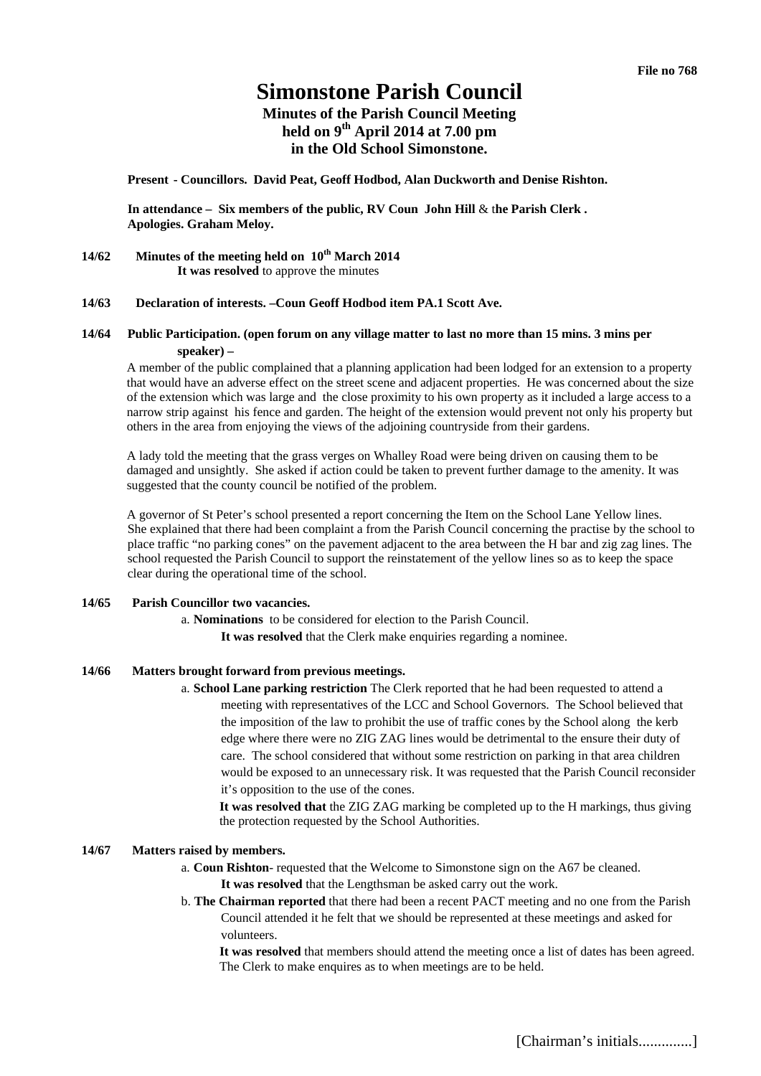# **Simonstone Parish Council**

# **Minutes of the Parish Council Meeting held on 9th April 2014 at 7.00 pm in the Old School Simonstone.**

**Present - Councillors. David Peat, Geoff Hodbod, Alan Duckworth and Denise Rishton.** 

**In attendance – Six members of the public, RV Coun John Hill** & t**he Parish Clerk . Apologies. Graham Meloy.** 

**14/62 Minutes of the meeting held on 10th March 2014 It was resolved** to approve the minutes

#### **14/63 Declaration of interests. –Coun Geoff Hodbod item PA.1 Scott Ave.**

# **14/64 Public Participation. (open forum on any village matter to last no more than 15 mins. 3 mins per speaker) –**

A member of the public complained that a planning application had been lodged for an extension to a property that would have an adverse effect on the street scene and adjacent properties. He was concerned about the size of the extension which was large and the close proximity to his own property as it included a large access to a narrow strip against his fence and garden. The height of the extension would prevent not only his property but others in the area from enjoying the views of the adjoining countryside from their gardens.

A lady told the meeting that the grass verges on Whalley Road were being driven on causing them to be damaged and unsightly. She asked if action could be taken to prevent further damage to the amenity. It was suggested that the county council be notified of the problem.

A governor of St Peter's school presented a report concerning the Item on the School Lane Yellow lines. She explained that there had been complaint a from the Parish Council concerning the practise by the school to place traffic "no parking cones" on the pavement adjacent to the area between the H bar and zig zag lines. The school requested the Parish Council to support the reinstatement of the yellow lines so as to keep the space clear during the operational time of the school.

# **14/65 Parish Councillor two vacancies.**

a. **Nominations** to be considered for election to the Parish Council.

**It was resolved** that the Clerk make enquiries regarding a nominee.

# **14/66 Matters brought forward from previous meetings.**

a. **School Lane parking restriction** The Clerk reported that he had been requested to attend a meeting with representatives of the LCC and School Governors. The School believed that the imposition of the law to prohibit the use of traffic cones by the School along the kerb edge where there were no ZIG ZAG lines would be detrimental to the ensure their duty of care. The school considered that without some restriction on parking in that area children would be exposed to an unnecessary risk. It was requested that the Parish Council reconsider it's opposition to the use of the cones.

**It was resolved that** the ZIG ZAG marking be completed up to the H markings, thus giving the protection requested by the School Authorities.

# **14/67 Matters raised by members.**

a. **Coun Rishton**- requested that the Welcome to Simonstone sign on the A67 be cleaned. **It was resolved** that the Lengthsman be asked carry out the work.

b. **The Chairman reported** that there had been a recent PACT meeting and no one from the Parish Council attended it he felt that we should be represented at these meetings and asked for volunteers.

**It was resolved** that members should attend the meeting once a list of dates has been agreed. The Clerk to make enquires as to when meetings are to be held.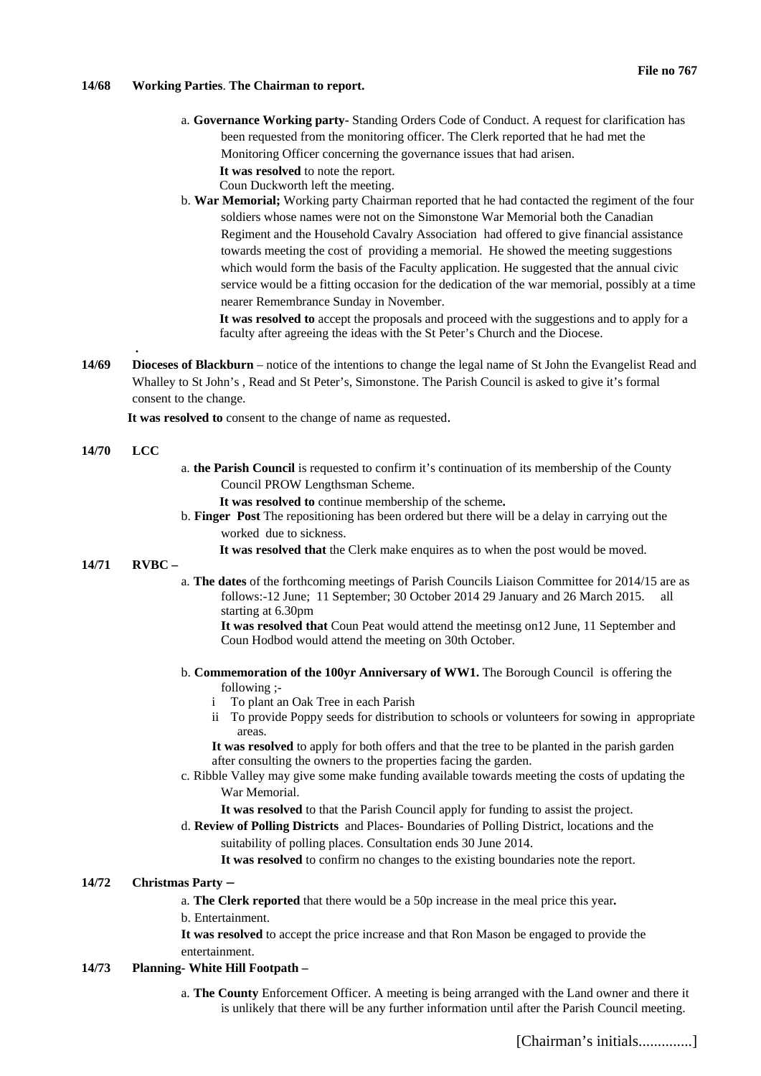#### **14/68 Working Parties**. **The Chairman to report.**

- a. **Governance Working party-** Standing Orders Code of Conduct. A request for clarification has been requested from the monitoring officer. The Clerk reported that he had met the Monitoring Officer concerning the governance issues that had arisen. **It was resolved** to note the report. Coun Duckworth left the meeting.
- b. **War Memorial;** Working party Chairman reported that he had contacted the regiment of the four soldiers whose names were not on the Simonstone War Memorial both the Canadian Regiment and the Household Cavalry Association had offered to give financial assistance towards meeting the cost of providing a memorial. He showed the meeting suggestions which would form the basis of the Faculty application. He suggested that the annual civic service would be a fitting occasion for the dedication of the war memorial, possibly at a time nearer Remembrance Sunday in November.

**It was resolved to** accept the proposals and proceed with the suggestions and to apply for a faculty after agreeing the ideas with the St Peter's Church and the Diocese.

**14/69 Dioceses of Blackburn** – notice of the intentions to change the legal name of St John the Evangelist Read and Whalley to St John's , Read and St Peter's, Simonstone. The Parish Council is asked to give it's formal consent to the change.

**It was resolved to** consent to the change of name as requested.

## **14/70 LCC**

 **.** 

- a. **the Parish Council** is requested to confirm it's continuation of its membership of the County Council PROW Lengthsman Scheme.
	- **It was resolved to** continue membership of the scheme**.**
- b. **Finger Post** The repositioning has been ordered but there will be a delay in carrying out the worked due to sickness.
	- **It was resolved that** the Clerk make enquires as to when the post would be moved.

## **14/71 RVBC –**

a. **The dates** of the forthcoming meetings of Parish Councils Liaison Committee for 2014/15 are as follows:-12 June; 11 September; 30 October 2014 29 January and 26 March 2015. all starting at 6.30pm

**It was resolved that** Coun Peat would attend the meetinsg on12 June, 11 September and Coun Hodbod would attend the meeting on 30th October.

- b. **Commemoration of the 100yr Anniversary of WW1.** The Borough Council is offering the following ;
	- i To plant an Oak Tree in each Parish
	- ii To provide Poppy seeds for distribution to schools or volunteers for sowing in appropriate areas.

**It was resolved** to apply for both offers and that the tree to be planted in the parish garden after consulting the owners to the properties facing the garden.

- c. Ribble Valley may give some make funding available towards meeting the costs of updating the War Memorial.
	- **It was resolved** to that the Parish Council apply for funding to assist the project.
- d. **Review of Polling Districts** and Places- Boundaries of Polling District, locations and the suitability of polling places. Consultation ends 30 June 2014.

**It was resolved** to confirm no changes to the existing boundaries note the report.

# **14/72 Christmas Party –**

a. **The Clerk reported** that there would be a 50p increase in the meal price this year**.**

b. Entertainment.

**It was resolved** to accept the price increase and that Ron Mason be engaged to provide the entertainment.

## **14/73 Planning- White Hill Footpath –**

a. **The County** Enforcement Officer. A meeting is being arranged with the Land owner and there it is unlikely that there will be any further information until after the Parish Council meeting.